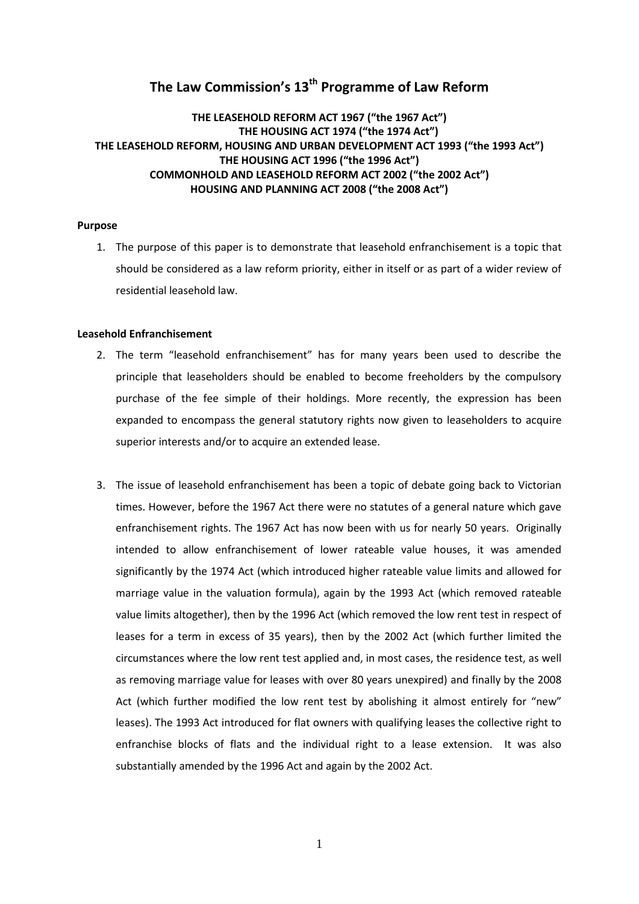# **The Law Commission's 13th Programme of Law Reform**

## **THE LEASEHOLD REFORM ACT 1967 ("the 1967 Act") THE HOUSING ACT 1974 ("the 1974 Act") THE LEASEHOLD REFORM, HOUSING AND URBAN DEVELOPMENT ACT 1993 ("the 1993 Act") THE HOUSING ACT 1996 ("the 1996 Act") COMMONHOLD AND LEASEHOLD REFORM ACT 2002 ("the 2002 Act") HOUSING AND PLANNING ACT 2008 ("the 2008 Act")**

## **Purpose**

1. The purpose of this paper is to demonstrate that leasehold enfranchisement is a topic that should be considered as a law reform priority, either in itself or as part of a wider review of residential leasehold law.

## **Leasehold Enfranchisement**

- 2. The term "leasehold enfranchisement" has for many years been used to describe the principle that leaseholders should be enabled to become freeholders by the compulsory purchase of the fee simple of their holdings. More recently, the expression has been expanded to encompass the general statutory rights now given to leaseholders to acquire superior interests and/or to acquire an extended lease.
- 3. The issue of leasehold enfranchisement has been a topic of debate going back to Victorian times. However, before the 1967 Act there were no statutes of a general nature which gave enfranchisement rights. The 1967 Act has now been with us for nearly 50 years. Originally intended to allow enfranchisement of lower rateable value houses, it was amended significantly by the 1974 Act (which introduced higher rateable value limits and allowed for marriage value in the valuation formula), again by the 1993 Act (which removed rateable value limits altogether), then by the 1996 Act (which removed the low rent test in respect of leases for a term in excess of 35 years), then by the 2002 Act (which further limited the circumstances where the low rent test applied and, in most cases, the residence test, as well as removing marriage value for leases with over 80 years unexpired) and finally by the 2008 Act (which further modified the low rent test by abolishing it almost entirely for "new" leases). The 1993 Act introduced for flat owners with qualifying leases the collective right to enfranchise blocks of flats and the individual right to a lease extension. It was also substantially amended by the 1996 Act and again by the 2002 Act.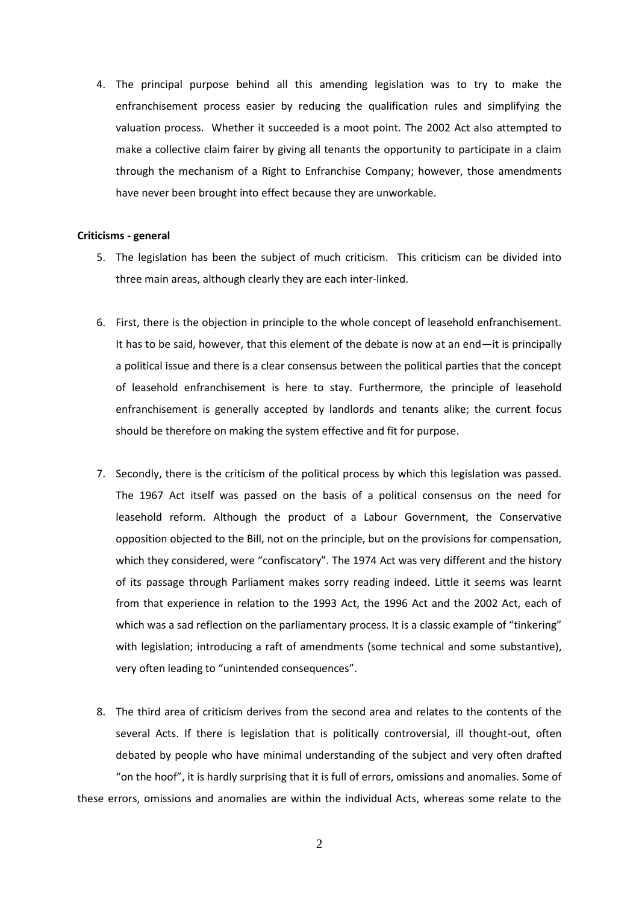4. The principal purpose behind all this amending legislation was to try to make the enfranchisement process easier by reducing the qualification rules and simplifying the valuation process. Whether it succeeded is a moot point. The 2002 Act also attempted to make a collective claim fairer by giving all tenants the opportunity to participate in a claim through the mechanism of a Right to Enfranchise Company; however, those amendments have never been brought into effect because they are unworkable.

#### **Criticisms - general**

- 5. The legislation has been the subject of much criticism. This criticism can be divided into three main areas, although clearly they are each inter-linked.
- 6. First, there is the objection in principle to the whole concept of leasehold enfranchisement. It has to be said, however, that this element of the debate is now at an end—it is principally a political issue and there is a clear consensus between the political parties that the concept of leasehold enfranchisement is here to stay. Furthermore, the principle of leasehold enfranchisement is generally accepted by landlords and tenants alike; the current focus should be therefore on making the system effective and fit for purpose.
- 7. Secondly, there is the criticism of the political process by which this legislation was passed. The 1967 Act itself was passed on the basis of a political consensus on the need for leasehold reform. Although the product of a Labour Government, the Conservative opposition objected to the Bill, not on the principle, but on the provisions for compensation, which they considered, were "confiscatory". The 1974 Act was very different and the history of its passage through Parliament makes sorry reading indeed. Little it seems was learnt from that experience in relation to the 1993 Act, the 1996 Act and the 2002 Act, each of which was a sad reflection on the parliamentary process. It is a classic example of "tinkering" with legislation; introducing a raft of amendments (some technical and some substantive), very often leading to "unintended consequences".
- 8. The third area of criticism derives from the second area and relates to the contents of the several Acts. If there is legislation that is politically controversial, ill thought-out, often debated by people who have minimal understanding of the subject and very often drafted "on the hoof", it is hardly surprising that it is full of errors, omissions and anomalies. Some of these errors, omissions and anomalies are within the individual Acts, whereas some relate to the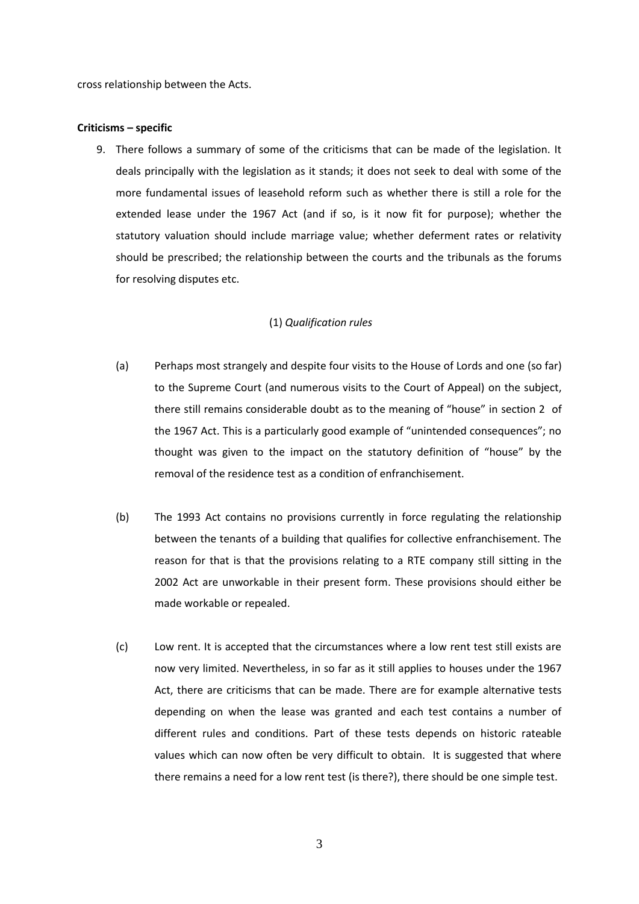cross relationship between the Acts.

#### **Criticisms – specific**

9. There follows a summary of some of the criticisms that can be made of the legislation. It deals principally with the legislation as it stands; it does not seek to deal with some of the more fundamental issues of leasehold reform such as whether there is still a role for the extended lease under the 1967 Act (and if so, is it now fit for purpose); whether the statutory valuation should include marriage value; whether deferment rates or relativity should be prescribed; the relationship between the courts and the tribunals as the forums for resolving disputes etc.

### (1) *Qualification rules*

- (a) Perhaps most strangely and despite four visits to the House of Lords and one (so far) to the Supreme Court (and numerous visits to the Court of Appeal) on the subject, there still remains considerable doubt as to the meaning of "house" in section 2 of the 1967 Act. This is a particularly good example of "unintended consequences"; no thought was given to the impact on the statutory definition of "house" by the removal of the residence test as a condition of enfranchisement.
- (b) The 1993 Act contains no provisions currently in force regulating the relationship between the tenants of a building that qualifies for collective enfranchisement. The reason for that is that the provisions relating to a RTE company still sitting in the 2002 Act are unworkable in their present form. These provisions should either be made workable or repealed.
- (c) Low rent. It is accepted that the circumstances where a low rent test still exists are now very limited. Nevertheless, in so far as it still applies to houses under the 1967 Act, there are criticisms that can be made. There are for example alternative tests depending on when the lease was granted and each test contains a number of different rules and conditions. Part of these tests depends on historic rateable values which can now often be very difficult to obtain. It is suggested that where there remains a need for a low rent test (is there?), there should be one simple test.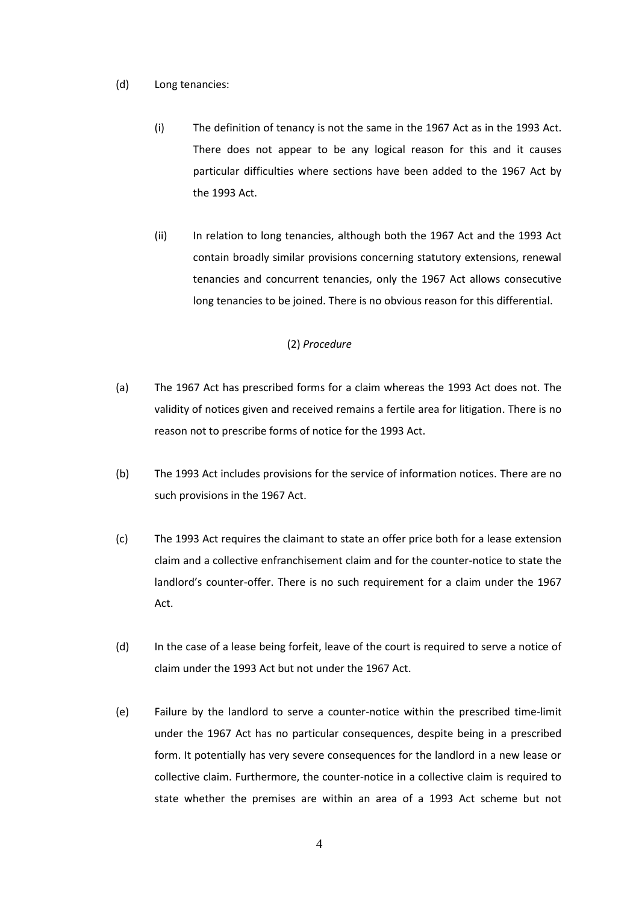#### (d) Long tenancies:

- (i) The definition of tenancy is not the same in the 1967 Act as in the 1993 Act. There does not appear to be any logical reason for this and it causes particular difficulties where sections have been added to the 1967 Act by the 1993 Act.
- (ii) In relation to long tenancies, although both the 1967 Act and the 1993 Act contain broadly similar provisions concerning statutory extensions, renewal tenancies and concurrent tenancies, only the 1967 Act allows consecutive long tenancies to be joined. There is no obvious reason for this differential.

## (2) *Procedure*

- (a) The 1967 Act has prescribed forms for a claim whereas the 1993 Act does not. The validity of notices given and received remains a fertile area for litigation. There is no reason not to prescribe forms of notice for the 1993 Act.
- (b) The 1993 Act includes provisions for the service of information notices. There are no such provisions in the 1967 Act.
- (c) The 1993 Act requires the claimant to state an offer price both for a lease extension claim and a collective enfranchisement claim and for the counter-notice to state the landlord's counter-offer. There is no such requirement for a claim under the 1967 Act.
- (d) In the case of a lease being forfeit, leave of the court is required to serve a notice of claim under the 1993 Act but not under the 1967 Act.
- (e) Failure by the landlord to serve a counter-notice within the prescribed time-limit under the 1967 Act has no particular consequences, despite being in a prescribed form. It potentially has very severe consequences for the landlord in a new lease or collective claim. Furthermore, the counter-notice in a collective claim is required to state whether the premises are within an area of a 1993 Act scheme but not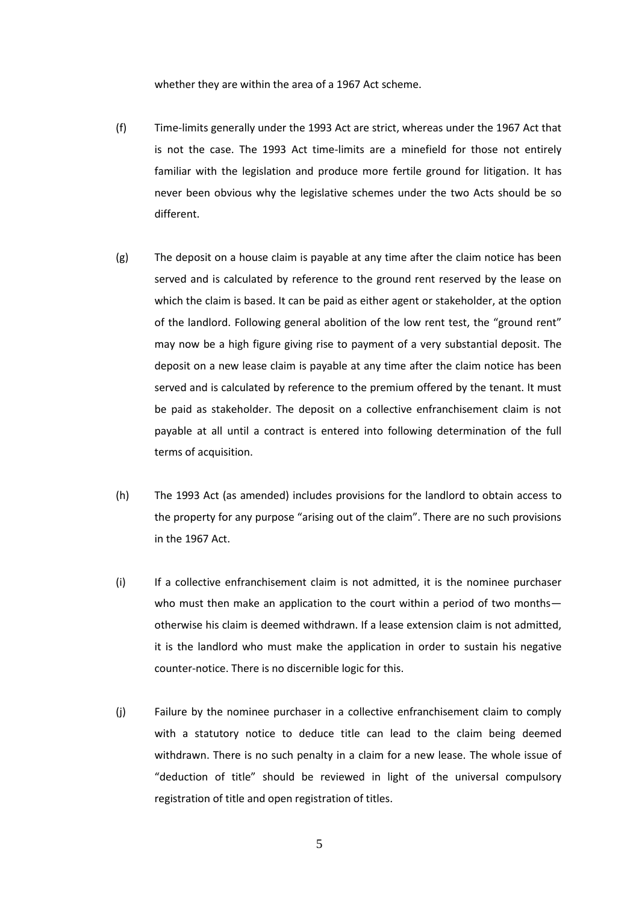whether they are within the area of a 1967 Act scheme.

- (f) Time-limits generally under the 1993 Act are strict, whereas under the 1967 Act that is not the case. The 1993 Act time-limits are a minefield for those not entirely familiar with the legislation and produce more fertile ground for litigation. It has never been obvious why the legislative schemes under the two Acts should be so different.
- (g) The deposit on a house claim is payable at any time after the claim notice has been served and is calculated by reference to the ground rent reserved by the lease on which the claim is based. It can be paid as either agent or stakeholder, at the option of the landlord. Following general abolition of the low rent test, the "ground rent" may now be a high figure giving rise to payment of a very substantial deposit. The deposit on a new lease claim is payable at any time after the claim notice has been served and is calculated by reference to the premium offered by the tenant. It must be paid as stakeholder. The deposit on a collective enfranchisement claim is not payable at all until a contract is entered into following determination of the full terms of acquisition.
- (h) The 1993 Act (as amended) includes provisions for the landlord to obtain access to the property for any purpose "arising out of the claim". There are no such provisions in the 1967 Act.
- (i) If a collective enfranchisement claim is not admitted, it is the nominee purchaser who must then make an application to the court within a period of two monthsotherwise his claim is deemed withdrawn. If a lease extension claim is not admitted, it is the landlord who must make the application in order to sustain his negative counter-notice. There is no discernible logic for this.
- (j) Failure by the nominee purchaser in a collective enfranchisement claim to comply with a statutory notice to deduce title can lead to the claim being deemed withdrawn. There is no such penalty in a claim for a new lease. The whole issue of "deduction of title" should be reviewed in light of the universal compulsory registration of title and open registration of titles.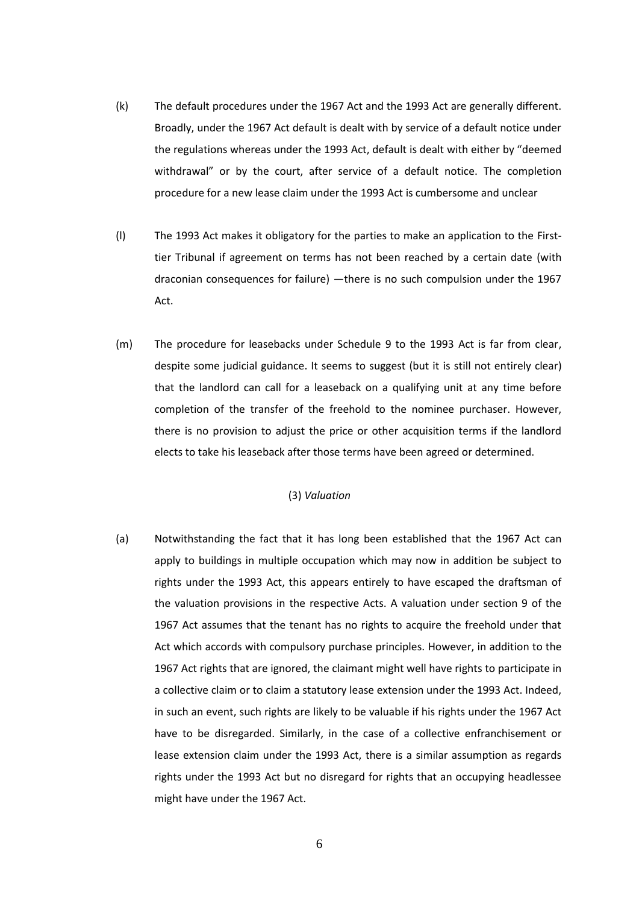- (k) The default procedures under the 1967 Act and the 1993 Act are generally different. Broadly, under the 1967 Act default is dealt with by service of a default notice under the regulations whereas under the 1993 Act, default is dealt with either by "deemed withdrawal" or by the court, after service of a default notice. The completion procedure for a new lease claim under the 1993 Act is cumbersome and unclear
- (l) The 1993 Act makes it obligatory for the parties to make an application to the Firsttier Tribunal if agreement on terms has not been reached by a certain date (with draconian consequences for failure) —there is no such compulsion under the 1967 Act.
- (m) The procedure for leasebacks under Schedule 9 to the 1993 Act is far from clear, despite some judicial guidance. It seems to suggest (but it is still not entirely clear) that the landlord can call for a leaseback on a qualifying unit at any time before completion of the transfer of the freehold to the nominee purchaser. However, there is no provision to adjust the price or other acquisition terms if the landlord elects to take his leaseback after those terms have been agreed or determined.

## (3) *Valuation*

(a) Notwithstanding the fact that it has long been established that the 1967 Act can apply to buildings in multiple occupation which may now in addition be subject to rights under the 1993 Act, this appears entirely to have escaped the draftsman of the valuation provisions in the respective Acts. A valuation under section 9 of the 1967 Act assumes that the tenant has no rights to acquire the freehold under that Act which accords with compulsory purchase principles. However, in addition to the 1967 Act rights that are ignored, the claimant might well have rights to participate in a collective claim or to claim a statutory lease extension under the 1993 Act. Indeed, in such an event, such rights are likely to be valuable if his rights under the 1967 Act have to be disregarded. Similarly, in the case of a collective enfranchisement or lease extension claim under the 1993 Act, there is a similar assumption as regards rights under the 1993 Act but no disregard for rights that an occupying headlessee might have under the 1967 Act.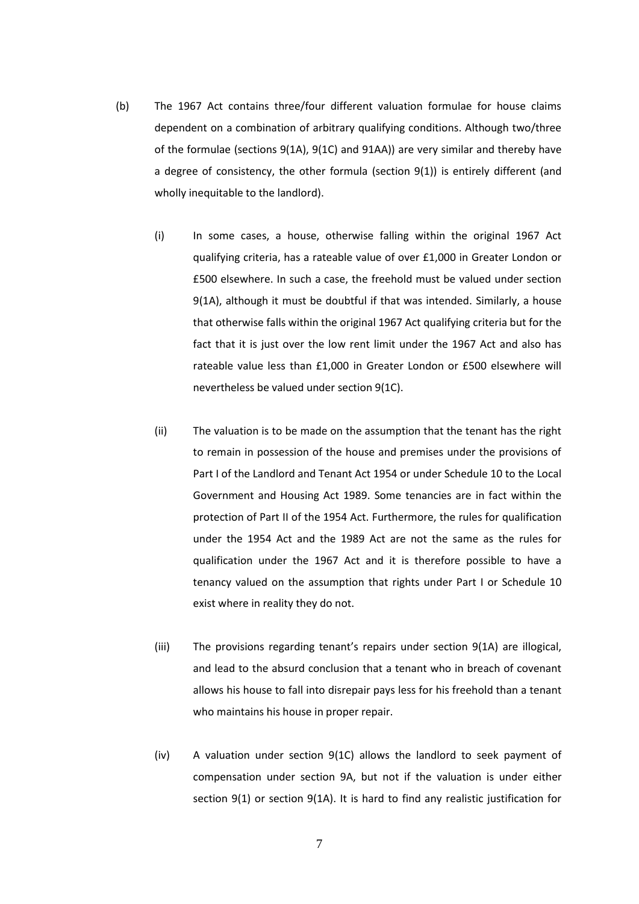- (b) The 1967 Act contains three/four different valuation formulae for house claims dependent on a combination of arbitrary qualifying conditions. Although two/three of the formulae (sections 9(1A), 9(1C) and 91AA)) are very similar and thereby have a degree of consistency, the other formula (section 9(1)) is entirely different (and wholly inequitable to the landlord).
	- (i) In some cases, a house, otherwise falling within the original 1967 Act qualifying criteria, has a rateable value of over £1,000 in Greater London or £500 elsewhere. In such a case, the freehold must be valued under section 9(1A), although it must be doubtful if that was intended. Similarly, a house that otherwise falls within the original 1967 Act qualifying criteria but for the fact that it is just over the low rent limit under the 1967 Act and also has rateable value less than £1,000 in Greater London or £500 elsewhere will nevertheless be valued under section 9(1C).
	- (ii) The valuation is to be made on the assumption that the tenant has the right to remain in possession of the house and premises under the provisions of Part I of the Landlord and Tenant Act 1954 or under Schedule 10 to the Local Government and Housing Act 1989. Some tenancies are in fact within the protection of Part II of the 1954 Act. Furthermore, the rules for qualification under the 1954 Act and the 1989 Act are not the same as the rules for qualification under the 1967 Act and it is therefore possible to have a tenancy valued on the assumption that rights under Part I or Schedule 10 exist where in reality they do not.
	- (iii) The provisions regarding tenant's repairs under section 9(1A) are illogical, and lead to the absurd conclusion that a tenant who in breach of covenant allows his house to fall into disrepair pays less for his freehold than a tenant who maintains his house in proper repair.
	- (iv) A valuation under section 9(1C) allows the landlord to seek payment of compensation under section 9A, but not if the valuation is under either section 9(1) or section 9(1A). It is hard to find any realistic justification for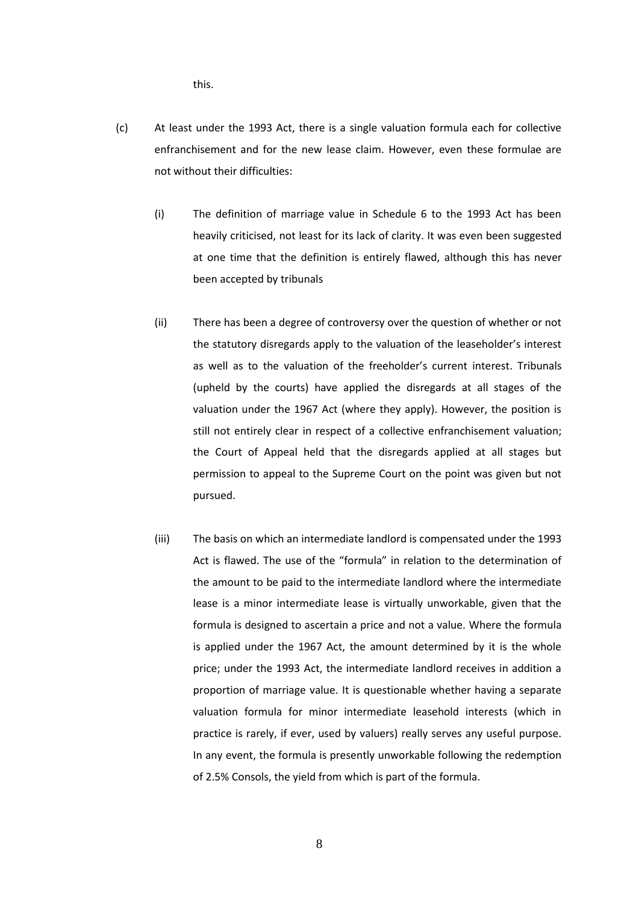this.

- (c) At least under the 1993 Act, there is a single valuation formula each for collective enfranchisement and for the new lease claim. However, even these formulae are not without their difficulties:
	- (i) The definition of marriage value in Schedule 6 to the 1993 Act has been heavily criticised, not least for its lack of clarity. It was even been suggested at one time that the definition is entirely flawed, although this has never been accepted by tribunals
	- (ii) There has been a degree of controversy over the question of whether or not the statutory disregards apply to the valuation of the leaseholder's interest as well as to the valuation of the freeholder's current interest. Tribunals (upheld by the courts) have applied the disregards at all stages of the valuation under the 1967 Act (where they apply). However, the position is still not entirely clear in respect of a collective enfranchisement valuation; the Court of Appeal held that the disregards applied at all stages but permission to appeal to the Supreme Court on the point was given but not pursued.
	- (iii) The basis on which an intermediate landlord is compensated under the 1993 Act is flawed. The use of the "formula" in relation to the determination of the amount to be paid to the intermediate landlord where the intermediate lease is a minor intermediate lease is virtually unworkable, given that the formula is designed to ascertain a price and not a value. Where the formula is applied under the 1967 Act, the amount determined by it is the whole price; under the 1993 Act, the intermediate landlord receives in addition a proportion of marriage value. It is questionable whether having a separate valuation formula for minor intermediate leasehold interests (which in practice is rarely, if ever, used by valuers) really serves any useful purpose. In any event, the formula is presently unworkable following the redemption of 2.5% Consols, the yield from which is part of the formula.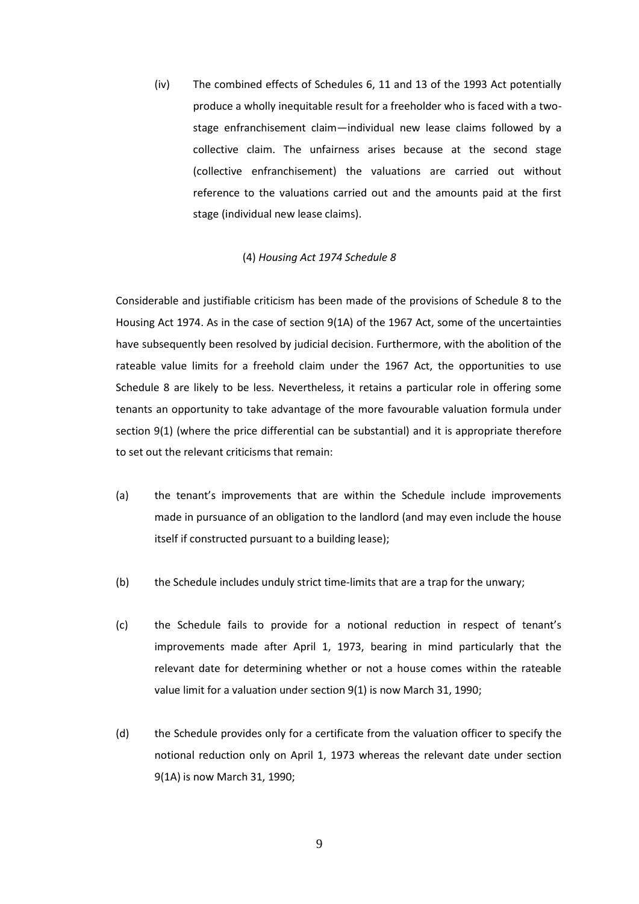(iv) The combined effects of Schedules 6, 11 and 13 of the 1993 Act potentially produce a wholly inequitable result for a freeholder who is faced with a twostage enfranchisement claim—individual new lease claims followed by a collective claim. The unfairness arises because at the second stage (collective enfranchisement) the valuations are carried out without reference to the valuations carried out and the amounts paid at the first stage (individual new lease claims).

#### (4) *Housing Act 1974 Schedule 8*

Considerable and justifiable criticism has been made of the provisions of Schedule 8 to the Housing Act 1974. As in the case of section 9(1A) of the 1967 Act, some of the uncertainties have subsequently been resolved by judicial decision. Furthermore, with the abolition of the rateable value limits for a freehold claim under the 1967 Act, the opportunities to use Schedule 8 are likely to be less. Nevertheless, it retains a particular role in offering some tenants an opportunity to take advantage of the more favourable valuation formula under section 9(1) (where the price differential can be substantial) and it is appropriate therefore to set out the relevant criticisms that remain:

- (a) the tenant's improvements that are within the Schedule include improvements made in pursuance of an obligation to the landlord (and may even include the house itself if constructed pursuant to a building lease);
- (b) the Schedule includes unduly strict time-limits that are a trap for the unwary;
- (c) the Schedule fails to provide for a notional reduction in respect of tenant's improvements made after April 1, 1973, bearing in mind particularly that the relevant date for determining whether or not a house comes within the rateable value limit for a valuation under section 9(1) is now March 31, 1990;
- (d) the Schedule provides only for a certificate from the valuation officer to specify the notional reduction only on April 1, 1973 whereas the relevant date under section 9(1A) is now March 31, 1990;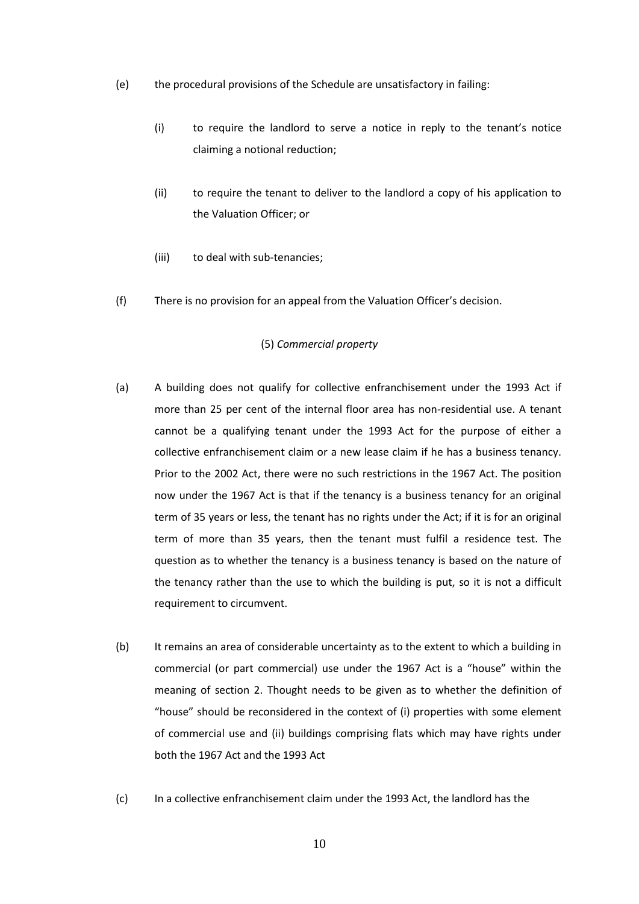- (e) the procedural provisions of the Schedule are unsatisfactory in failing:
	- (i) to require the landlord to serve a notice in reply to the tenant's notice claiming a notional reduction;
	- (ii) to require the tenant to deliver to the landlord a copy of his application to the Valuation Officer; or
	- (iii) to deal with sub-tenancies;
- (f) There is no provision for an appeal from the Valuation Officer's decision.

#### (5) *Commercial property*

- (a) A building does not qualify for collective enfranchisement under the 1993 Act if more than 25 per cent of the internal floor area has non-residential use. A tenant cannot be a qualifying tenant under the 1993 Act for the purpose of either a collective enfranchisement claim or a new lease claim if he has a business tenancy. Prior to the 2002 Act, there were no such restrictions in the 1967 Act. The position now under the 1967 Act is that if the tenancy is a business tenancy for an original term of 35 years or less, the tenant has no rights under the Act; if it is for an original term of more than 35 years, then the tenant must fulfil a residence test. The question as to whether the tenancy is a business tenancy is based on the nature of the tenancy rather than the use to which the building is put, so it is not a difficult requirement to circumvent.
- (b) It remains an area of considerable uncertainty as to the extent to which a building in commercial (or part commercial) use under the 1967 Act is a "house" within the meaning of section 2. Thought needs to be given as to whether the definition of "house" should be reconsidered in the context of (i) properties with some element of commercial use and (ii) buildings comprising flats which may have rights under both the 1967 Act and the 1993 Act
- (c) In a collective enfranchisement claim under the 1993 Act, the landlord has the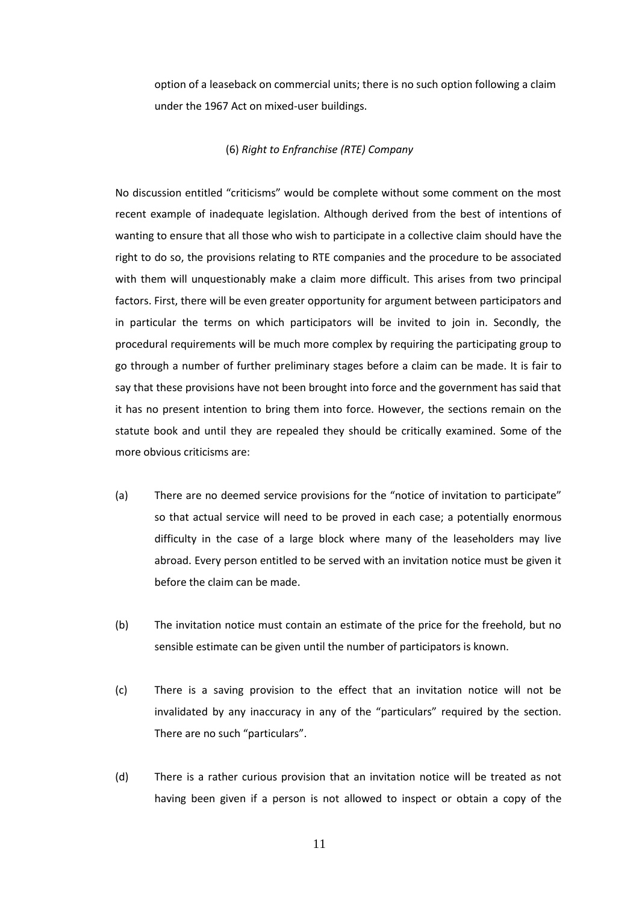option of a leaseback on commercial units; there is no such option following a claim under the 1967 Act on mixed-user buildings.

## (6) *Right to Enfranchise (RTE) Company*

No discussion entitled "criticisms" would be complete without some comment on the most recent example of inadequate legislation. Although derived from the best of intentions of wanting to ensure that all those who wish to participate in a collective claim should have the right to do so, the provisions relating to RTE companies and the procedure to be associated with them will unquestionably make a claim more difficult. This arises from two principal factors. First, there will be even greater opportunity for argument between participators and in particular the terms on which participators will be invited to join in. Secondly, the procedural requirements will be much more complex by requiring the participating group to go through a number of further preliminary stages before a claim can be made. It is fair to say that these provisions have not been brought into force and the government has said that it has no present intention to bring them into force. However, the sections remain on the statute book and until they are repealed they should be critically examined. Some of the more obvious criticisms are:

- (a) There are no deemed service provisions for the "notice of invitation to participate" so that actual service will need to be proved in each case; a potentially enormous difficulty in the case of a large block where many of the leaseholders may live abroad. Every person entitled to be served with an invitation notice must be given it before the claim can be made.
- (b) The invitation notice must contain an estimate of the price for the freehold, but no sensible estimate can be given until the number of participators is known.
- (c) There is a saving provision to the effect that an invitation notice will not be invalidated by any inaccuracy in any of the "particulars" required by the section. There are no such "particulars".
- (d) There is a rather curious provision that an invitation notice will be treated as not having been given if a person is not allowed to inspect or obtain a copy of the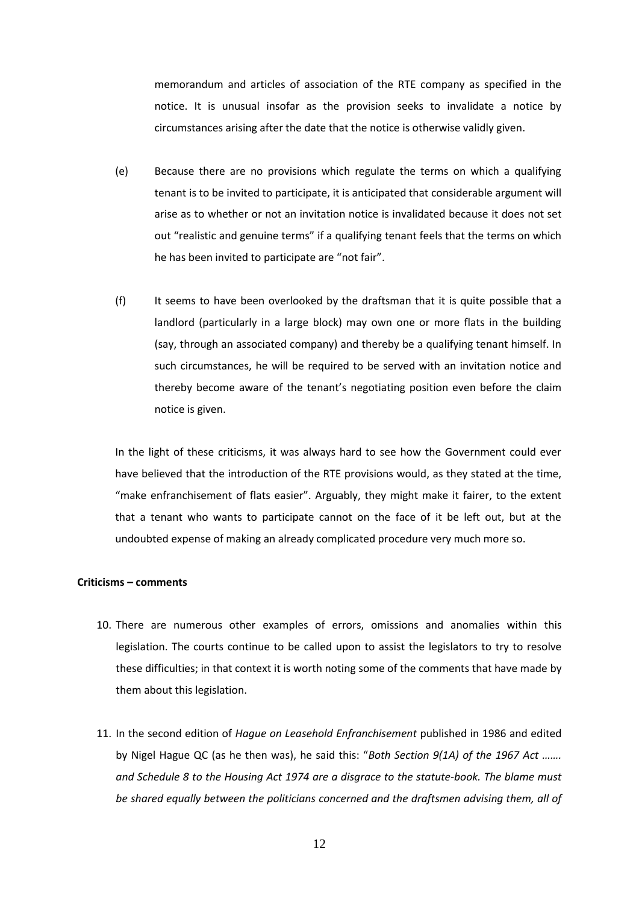memorandum and articles of association of the RTE company as specified in the notice. It is unusual insofar as the provision seeks to invalidate a notice by circumstances arising after the date that the notice is otherwise validly given.

- (e) Because there are no provisions which regulate the terms on which a qualifying tenant is to be invited to participate, it is anticipated that considerable argument will arise as to whether or not an invitation notice is invalidated because it does not set out "realistic and genuine terms" if a qualifying tenant feels that the terms on which he has been invited to participate are "not fair".
- (f) It seems to have been overlooked by the draftsman that it is quite possible that a landlord (particularly in a large block) may own one or more flats in the building (say, through an associated company) and thereby be a qualifying tenant himself. In such circumstances, he will be required to be served with an invitation notice and thereby become aware of the tenant's negotiating position even before the claim notice is given.

In the light of these criticisms, it was always hard to see how the Government could ever have believed that the introduction of the RTE provisions would, as they stated at the time, "make enfranchisement of flats easier". Arguably, they might make it fairer, to the extent that a tenant who wants to participate cannot on the face of it be left out, but at the undoubted expense of making an already complicated procedure very much more so.

## **Criticisms – comments**

- 10. There are numerous other examples of errors, omissions and anomalies within this legislation. The courts continue to be called upon to assist the legislators to try to resolve these difficulties; in that context it is worth noting some of the comments that have made by them about this legislation.
- 11. In the second edition of *Hague on Leasehold Enfranchisement* published in 1986 and edited by Nigel Hague QC (as he then was), he said this: "*Both Section 9(1A) of the 1967 Act ……. and Schedule 8 to the Housing Act 1974 are a disgrace to the statute-book. The blame must be shared equally between the politicians concerned and the draftsmen advising them, all of*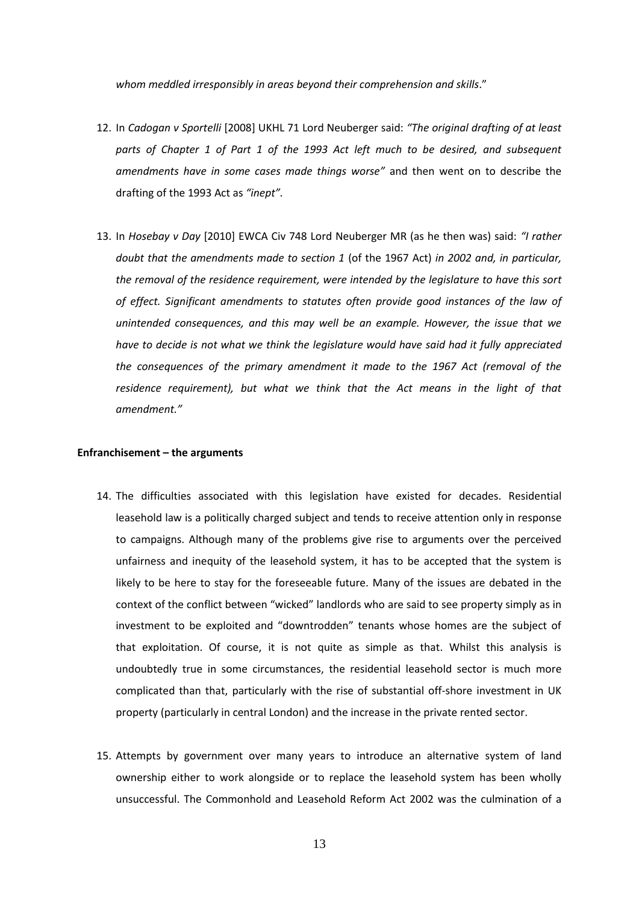*whom meddled irresponsibly in areas beyond their comprehension and skills*."

- 12. In *Cadogan v Sportelli* [2008] UKHL 71 Lord Neuberger said: *"The original drafting of at least parts of Chapter 1 of Part 1 of the 1993 Act left much to be desired, and subsequent amendments have in some cases made things worse"* and then went on to describe the drafting of the 1993 Act as *"inept".*
- 13. In *Hosebay v Day* [2010] EWCA Civ 748 Lord Neuberger MR (as he then was) said: *"I rather doubt that the amendments made to section 1* (of the 1967 Act) *in 2002 and, in particular, the removal of the residence requirement, were intended by the legislature to have this sort of effect. Significant amendments to statutes often provide good instances of the law of unintended consequences, and this may well be an example. However, the issue that we have to decide is not what we think the legislature would have said had it fully appreciated the consequences of the primary amendment it made to the 1967 Act (removal of the residence requirement), but what we think that the Act means in the light of that amendment."*

## **Enfranchisement – the arguments**

- 14. The difficulties associated with this legislation have existed for decades. Residential leasehold law is a politically charged subject and tends to receive attention only in response to campaigns. Although many of the problems give rise to arguments over the perceived unfairness and inequity of the leasehold system, it has to be accepted that the system is likely to be here to stay for the foreseeable future. Many of the issues are debated in the context of the conflict between "wicked" landlords who are said to see property simply as in investment to be exploited and "downtrodden" tenants whose homes are the subject of that exploitation. Of course, it is not quite as simple as that. Whilst this analysis is undoubtedly true in some circumstances, the residential leasehold sector is much more complicated than that, particularly with the rise of substantial off-shore investment in UK property (particularly in central London) and the increase in the private rented sector.
- 15. Attempts by government over many years to introduce an alternative system of land ownership either to work alongside or to replace the leasehold system has been wholly unsuccessful. The Commonhold and Leasehold Reform Act 2002 was the culmination of a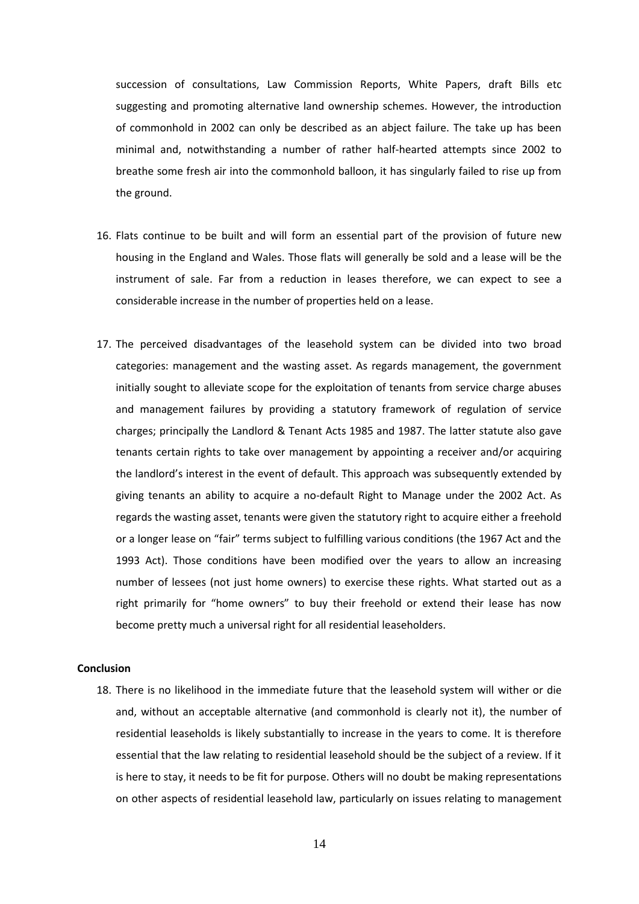succession of consultations, Law Commission Reports, White Papers, draft Bills etc suggesting and promoting alternative land ownership schemes. However, the introduction of commonhold in 2002 can only be described as an abject failure. The take up has been minimal and, notwithstanding a number of rather half-hearted attempts since 2002 to breathe some fresh air into the commonhold balloon, it has singularly failed to rise up from the ground.

- 16. Flats continue to be built and will form an essential part of the provision of future new housing in the England and Wales. Those flats will generally be sold and a lease will be the instrument of sale. Far from a reduction in leases therefore, we can expect to see a considerable increase in the number of properties held on a lease.
- 17. The perceived disadvantages of the leasehold system can be divided into two broad categories: management and the wasting asset. As regards management, the government initially sought to alleviate scope for the exploitation of tenants from service charge abuses and management failures by providing a statutory framework of regulation of service charges; principally the Landlord & Tenant Acts 1985 and 1987. The latter statute also gave tenants certain rights to take over management by appointing a receiver and/or acquiring the landlord's interest in the event of default. This approach was subsequently extended by giving tenants an ability to acquire a no-default Right to Manage under the 2002 Act. As regards the wasting asset, tenants were given the statutory right to acquire either a freehold or a longer lease on "fair" terms subject to fulfilling various conditions (the 1967 Act and the 1993 Act). Those conditions have been modified over the years to allow an increasing number of lessees (not just home owners) to exercise these rights. What started out as a right primarily for "home owners" to buy their freehold or extend their lease has now become pretty much a universal right for all residential leaseholders.

#### **Conclusion**

18. There is no likelihood in the immediate future that the leasehold system will wither or die and, without an acceptable alternative (and commonhold is clearly not it), the number of residential leaseholds is likely substantially to increase in the years to come. It is therefore essential that the law relating to residential leasehold should be the subject of a review. If it is here to stay, it needs to be fit for purpose. Others will no doubt be making representations on other aspects of residential leasehold law, particularly on issues relating to management